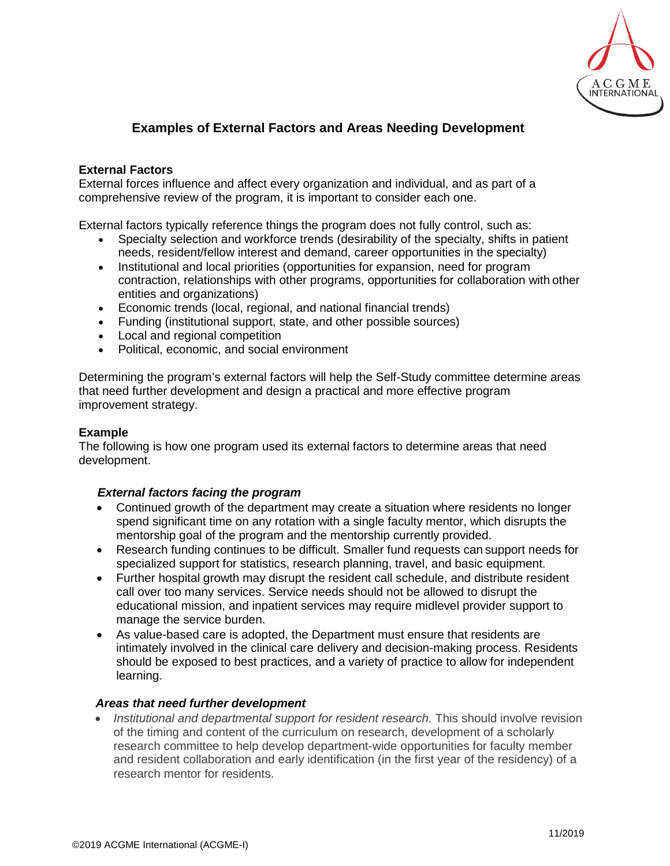

# **Examples of External Factors and Areas Needing Development**

# **External Factors**

External forces influence and affect every organization and individual, and as part of a comprehensive review of the program, it is important to consider each one.

External factors typically reference things the program does not fully control, such as:

- Specialty selection and workforce trends (desirability of the specialty, shifts in patient needs, resident/fellow interest and demand, career opportunities in the specialty)
- Institutional and local priorities (opportunities for expansion, need for program contraction, relationships with other programs, opportunities for collaboration with other entities and organizations)
- Economic trends (local, regional, and national financial trends)
- Funding (institutional support, state, and other possible sources)
- Local and regional competition
- Political, economic, and social environment

Determining the program's external factors will help the Self-Study committee determine areas that need further development and design a practical and more effective program improvement strategy.

# **Example**

The following is how one program used its external factors to determine areas that need development.

### *External factors facing the program*

- Continued growth of the department may create a situation where residents no longer spend significant time on any rotation with a single faculty mentor, which disrupts the mentorship goal of the program and the mentorship currently provided.
- Research funding continues to be difficult. Smaller fund requests can support needs for specialized support for statistics, research planning, travel, and basic equipment.
- Further hospital growth may disrupt the resident call schedule, and distribute resident call over too many services. Service needs should not be allowed to disrupt the educational mission, and inpatient services may require midlevel provider support to manage the service burden.
- As value-based care is adopted, the Department must ensure that residents are intimately involved in the clinical care delivery and decision-making process. Residents should be exposed to best practices, and a variety of practice to allow for independent learning.

### *Areas that need further development*

• *Institutional and departmental support for resident research.* This should involve revision of the timing and content of the curriculum on research, development of a scholarly research committee to help develop department-wide opportunities for faculty member and resident collaboration and early identification (in the first year of the residency) of a research mentor for residents.